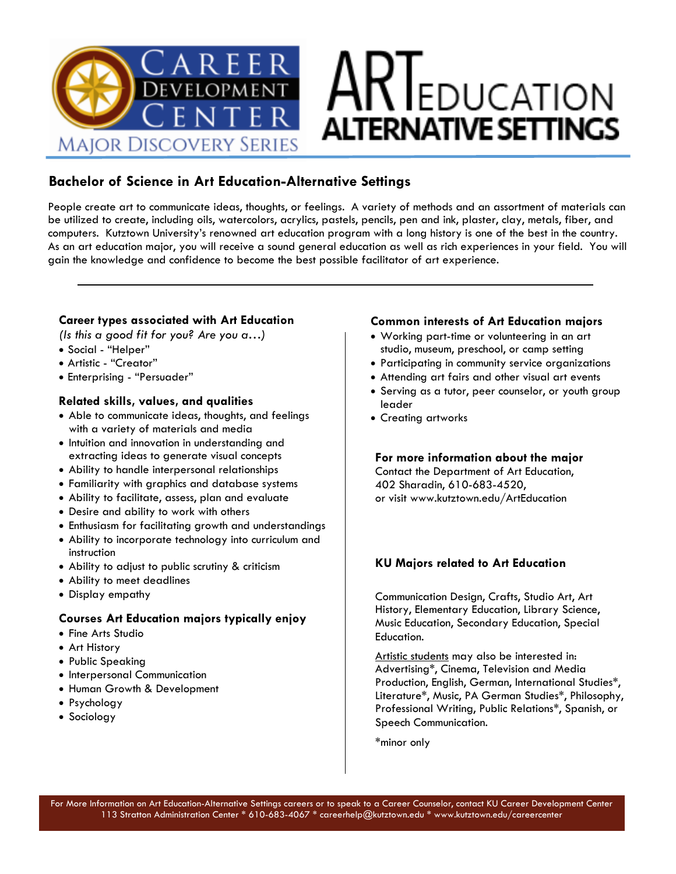

### **Bachelor of Science in Art Education-Alternative Settings**

People create art to communicate ideas, thoughts, or feelings. A variety of methods and an assortment of materials can be utilized to create, including oils, watercolors, acrylics, pastels, pencils, pen and ink, plaster, clay, metals, fiber, and computers. Kutztown University's renowned art education program with a long history is one of the best in the country. As an art education major, you will receive a sound general education as well as rich experiences in your field. You will gain the knowledge and confidence to become the best possible facilitator of art experience.

#### **Career types associated with Art Education**

*(Is this a good fit for you? Are you a…)*

- Social "Helper"
- Artistic "Creator"
- Enterprising "Persuader"

#### **Related skills, values, and qualities**

- Able to communicate ideas, thoughts, and feelings with a variety of materials and media
- Intuition and innovation in understanding and extracting ideas to generate visual concepts
- Ability to handle interpersonal relationships
- Familiarity with graphics and database systems
- Ability to facilitate, assess, plan and evaluate
- Desire and ability to work with others
- Enthusiasm for facilitating growth and understandings
- Ability to incorporate technology into curriculum and instruction
- Ability to adjust to public scrutiny & criticism
- Ability to meet deadlines
- Display empathy

#### **Courses Art Education majors typically enjoy**

- Fine Arts Studio
- Art History
- Public Speaking
- Interpersonal Communication
- Human Growth & Development
- Psychology
- Sociology

#### **Common interests of Art Education majors**

- Working part-time or volunteering in an art studio, museum, preschool, or camp setting
- Participating in community service organizations
- Attending art fairs and other visual art events
- Serving as a tutor, peer counselor, or youth group leader
- Creating artworks

#### **For more information about the major**

Contact the Department of Art Education, 402 Sharadin, 610-683-4520, or visit www.kutztown.edu/ArtEducation

#### **KU Majors related to Art Education**

Communication Design, Crafts, Studio Art, Art History, Elementary Education, Library Science, Music Education, Secondary Education, Special Education.

Artistic students may also be interested in: Advertising\*, Cinema, Television and Media Production, English, German, International Studies\*, Literature\*, Music, PA German Studies\*, Philosophy, Professional Writing, Public Relations\*, Spanish, or Speech Communication.

\*minor only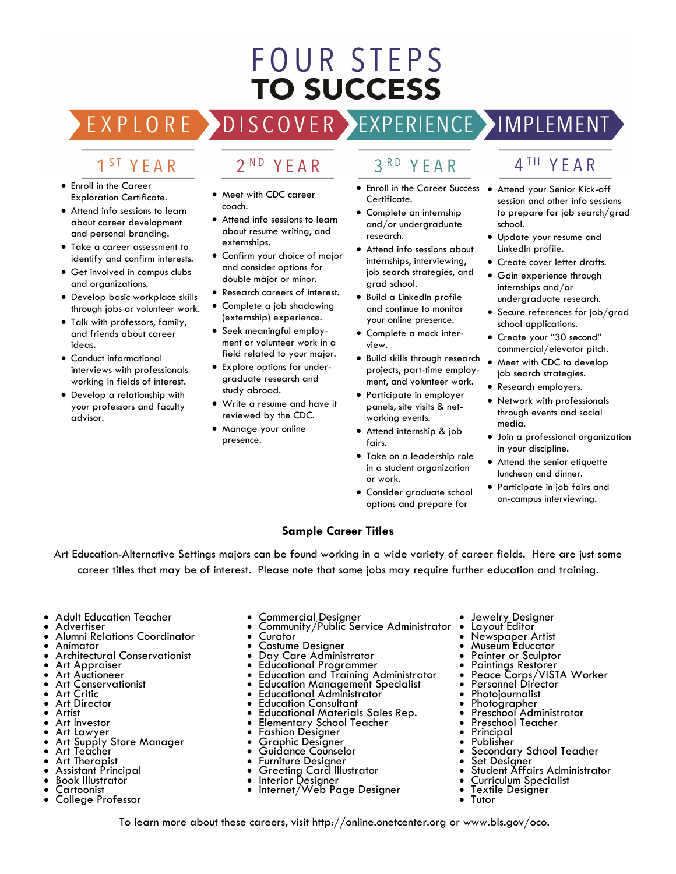## **FOUR STEPS TO SUCCESS**

OVER EXPERIENCE MAPLEMENT EXPLORE DISC

## 1<sup>ST</sup> YEAR

- Enroll in the Career Exploration Certificate.
- Attend info sessions to learn about career development and personal branding.
- Take a career assessment to identify and confirm interests.
- Get involved in campus clubs and organizations.
- Develop basic workplace skills through jobs or volunteer work.
- Talk with professors, family, and friends about career ideas.
- Conduct informational interviews with professionals working in fields of interest.
- Develop a relationship with your professors and faculty advisor.

#### $2<sup>ND</sup>$ YEAR

- Meet with CDC career coach.
- Attend info sessions to learn about resume writing, and externships.
- Confirm your choice of major and consider options for double major or minor.
- Research careers of interest.
- Complete a job shadowing (externship) experience.
- Seek meaningful employment or volunteer work in a field related to your major.
- Explore options for undergraduate research and study abroad.
- Write a resume and have it reviewed by the CDC.
- Manage your online presence.

## 3RD YFAR

- Enroll in the Career Success Attend your Senior Kick-off Certificate.
- Complete an internship and/or undergraduate research.
- Attend info sessions about internships, interviewing, job search strategies, and grad school.
- Build a LinkedIn profile and continue to monitor your online presence.
- Complete a mock interview.
- Build skills through research projects, part-time employment, and volunteer work.
- Participate in employer panels, site visits & networking events.
- Attend internship & job fairs.
- Take on a leadership role in a student organization or work.
- Consider graduate school options and prepare for

## 4TH YEAR

- session and other info sessions to prepare for job search/grad school.
- Update your resume and LinkedIn profile.
- Create cover letter drafts.
- Gain experience through internships and/or undergraduate research.
- Secure references for job/grad school applications.
- Create your "30 second" commercial/elevator pitch.
- Meet with CDC to develop job search strategies.
- Research employers.
- Network with professionals through events and social media.
- Join a professional organization in your discipline.
- Attend the senior etiquette luncheon and dinner.
- Participate in job fairs and on-campus interviewing.

#### **Sample Career Titles**

Art Education-Alternative Settings majors can be found working in a wide variety of career fields. Here are just some career titles that may be of interest. Please note that some jobs may require further education and training.

- Adult Education Teacher
- **Advertiser**
- Alumni Relations Coordinator
- Animator
- Architectural Conservationist
- Art Appraiser Art Auctioneer
- Art Conservationist
- Art Critic
- Art Director
- Artist
- Art Investor
- Art Lawyer
- Art Supply Store Manager
- Art Teacher
- Art Therapist
- Assistant Principal • Book Illustrator
- Cartoonist
- College Professor
- Commercial Designer
- Community/Public Service Administrator
- **Curator**
- Costume Designer
- Day Care Administrator
- Educational Programmer
- Education and Training Administrator **Education Management Specialist**
- Educational Administrator
- Education Consultant
- Educational Materials Sales Rep.
- Elementary School Teacher
- Fashion Designer
- Graphic Designer
- Guidance Counselor
- Furniture Designer
- Greeting Card Illustrator<br>• Interior Desianer
- Interior Designer
- Internet/Web Page Designer

To learn more about these careers, visit http://online.onetcenter.org or www.bls.gov/oco.

- Jewelry Designer<br>• Layout Editor
- Layout Editor
- Newspaper Artist
- Museum Educator
- Painter or Sculptor
- Paintings Restorer
- Peace Corps/VISTA Worker
- Personnel Director
- **Photojournalist**
- Photographer • Preschool Administrator
- Preschool Teacher
- **Principal**
- Publisher

• Tutor

- Secondary School Teacher
- Set Designer
- Student Affairs Administrator
- Curriculum Specialist Textile Designer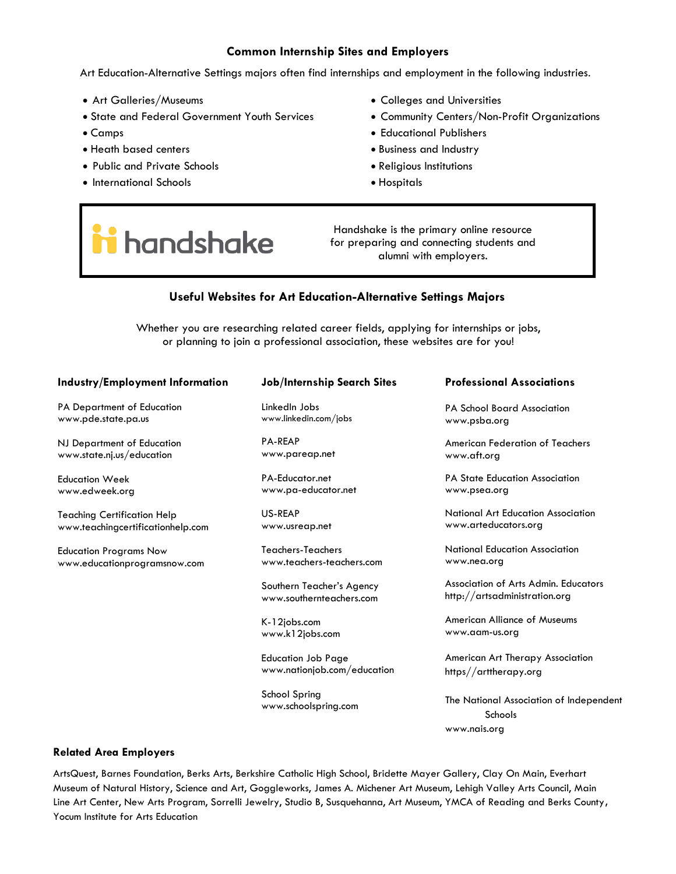#### **Common Internship Sites and Employers**

Art Education-Alternative Settings majors often find internships and employment in the following industries.

- Art Galleries/Museums
- State and Federal Government Youth Services
- Camps
- Heath based centers
- Public and Private Schools
- International Schools
- Colleges and Universities
- Community Centers/Non-Profit Organizations
- Educational Publishers
- Business and Industry
- Religious Institutions
- Hospitals

# handshake

Handshake is the primary online resource for preparing and connecting students and alumni with employers.

#### **Useful Websites for Art Education-Alternative Settings Majors**

Whether you are researching related career fields, applying for internships or jobs, or planning to join a professional association, these websites are for you!

| <b>Industry/Employment Information</b> | <b>Job/Internship Search Sites</b>                    | <b>Professional Associations</b>                                      |
|----------------------------------------|-------------------------------------------------------|-----------------------------------------------------------------------|
| PA Department of Education             | LinkedIn Jobs                                         | <b>PA School Board Association</b>                                    |
| www.pde.state.pa.us                    | www.linkedin.com/jobs                                 | www.psba.org                                                          |
| NJ Department of Education             | <b>PA-REAP</b>                                        | American Federation of Teachers                                       |
| www.state.nj.us/education              | www.pareap.net                                        | www.aft.org                                                           |
| Education Week                         | PA-Educator.net                                       | <b>PA State Education Association</b>                                 |
| www.edweek.org                         | www.pa-educator.net                                   | www.psea.org                                                          |
| Teaching Certification Help            | US-REAP                                               | National Art Education Association                                    |
| www.teachingcertificationhelp.com      | www.usreap.net                                        | www.arteducators.org                                                  |
| <b>Education Programs Now</b>          | Teachers-Teachers                                     | National Education Association                                        |
| www.educationprogramsnow.com           | www.teachers-teachers.com                             | www.nea.org                                                           |
|                                        | Southern Teacher's Agency<br>www.southernteachers.com | Association of Arts Admin. Educators<br>http://artsadministration.org |

K-12jobs.com www.k12jobs.com

School Spring

Education Job Page

www.schoolspring.com

www.nationjob.com/education

American Alliance of Museums www.aam-us.org

American Art Therapy Association https//arttherapy.org

The National Association of Independent Schools www.nais.org

#### **Related Area Employers**

ArtsQuest, Barnes Foundation, Berks Arts, Berkshire Catholic High School, Bridette Mayer Gallery, Clay On Main, Everhart Museum of Natural History, Science and Art, Goggleworks, James A. Michener Art Museum, Lehigh Valley Arts Council, Main Line Art Center, New Arts Program, Sorrelli Jewelry, Studio B, Susquehanna, Art Museum, YMCA of Reading and Berks County**,**  Yocum Institute for Arts Education